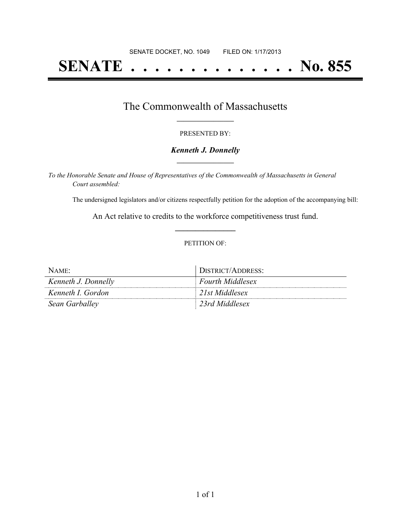# **SENATE . . . . . . . . . . . . . . No. 855**

### The Commonwealth of Massachusetts **\_\_\_\_\_\_\_\_\_\_\_\_\_\_\_\_\_**

#### PRESENTED BY:

#### *Kenneth J. Donnelly* **\_\_\_\_\_\_\_\_\_\_\_\_\_\_\_\_\_**

*To the Honorable Senate and House of Representatives of the Commonwealth of Massachusetts in General Court assembled:*

The undersigned legislators and/or citizens respectfully petition for the adoption of the accompanying bill:

An Act relative to credits to the workforce competitiveness trust fund. **\_\_\_\_\_\_\_\_\_\_\_\_\_\_\_**

#### PETITION OF:

| $N$ AME:            | DISTRICT/ADDRESS:       |
|---------------------|-------------------------|
| Kenneth J. Donnelly | <b>Fourth Middlesex</b> |
| Kenneth I. Gordon   | 21st Middlesex          |
| Sean Garballey      | 23rd Middlesex          |